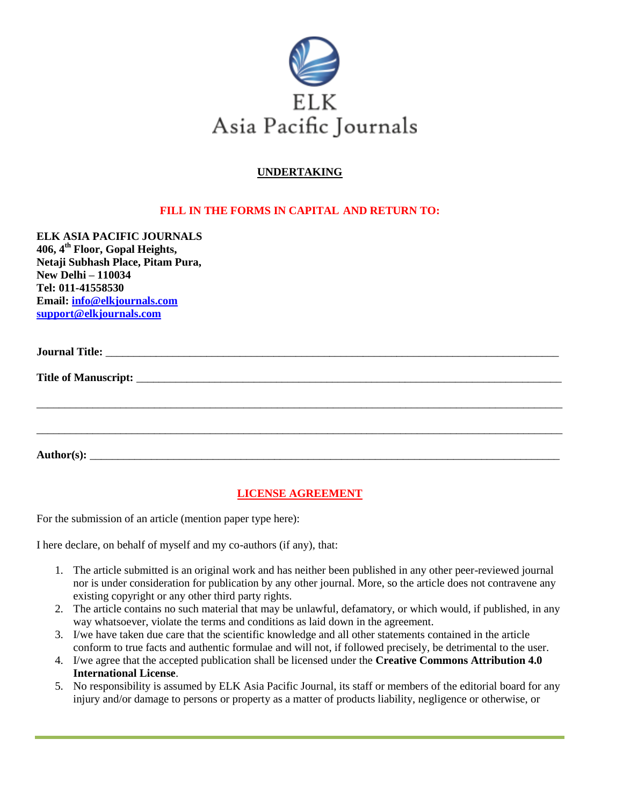

## **UNDERTAKING**

## **FILL IN THE FORMS IN CAPITAL AND RETURN TO:**

**ELK ASIA PACIFIC JOURNALS 406, 4 th Floor, Gopal Heights, Netaji Subhash Place, Pitam Pura, New Delhi – 110034 Tel: 011-41558530 Email: [info@elkjournals.com](mailto:info@elkjournals.com) [support@elkjournals.com](mailto:support@elkjournals.com)**

**Title of Manuscript:** 

**Author(s):** \_\_\_\_\_\_\_\_\_\_\_\_\_\_\_\_\_\_\_\_\_\_\_\_\_\_\_\_\_\_\_\_\_\_\_\_\_\_\_\_\_\_\_\_\_\_\_\_\_\_\_\_\_\_\_\_\_\_\_\_\_\_\_\_\_\_\_\_\_\_\_\_\_\_\_\_\_\_\_\_\_\_\_\_

## **LICENSE AGREEMENT**

\_\_\_\_\_\_\_\_\_\_\_\_\_\_\_\_\_\_\_\_\_\_\_\_\_\_\_\_\_\_\_\_\_\_\_\_\_\_\_\_\_\_\_\_\_\_\_\_\_\_\_\_\_\_\_\_\_\_\_\_\_\_\_\_\_\_\_\_\_\_\_\_\_\_\_\_\_\_\_\_\_\_\_\_\_\_\_\_\_\_\_\_\_\_

\_\_\_\_\_\_\_\_\_\_\_\_\_\_\_\_\_\_\_\_\_\_\_\_\_\_\_\_\_\_\_\_\_\_\_\_\_\_\_\_\_\_\_\_\_\_\_\_\_\_\_\_\_\_\_\_\_\_\_\_\_\_\_\_\_\_\_\_\_\_\_\_\_\_\_\_\_\_\_\_\_\_\_\_\_\_\_\_\_\_\_\_\_\_

For the submission of an article (mention paper type here):

I here declare, on behalf of myself and my co-authors (if any), that:

- 1. The article submitted is an original work and has neither been published in any other peer-reviewed journal nor is under consideration for publication by any other journal. More, so the article does not contravene any existing copyright or any other third party rights.
- 2. The article contains no such material that may be unlawful, defamatory, or which would, if published, in any way whatsoever, violate the terms and conditions as laid down in the agreement.
- 3. I/we have taken due care that the scientific knowledge and all other statements contained in the article conform to true facts and authentic formulae and will not, if followed precisely, be detrimental to the user.
- 4. I/we agree that the accepted publication shall be licensed under the **Creative Commons Attribution 4.0 International License**.
- 5. No responsibility is assumed by ELK Asia Pacific Journal, its staff or members of the editorial board for any injury and/or damage to persons or property as a matter of products liability, negligence or otherwise, or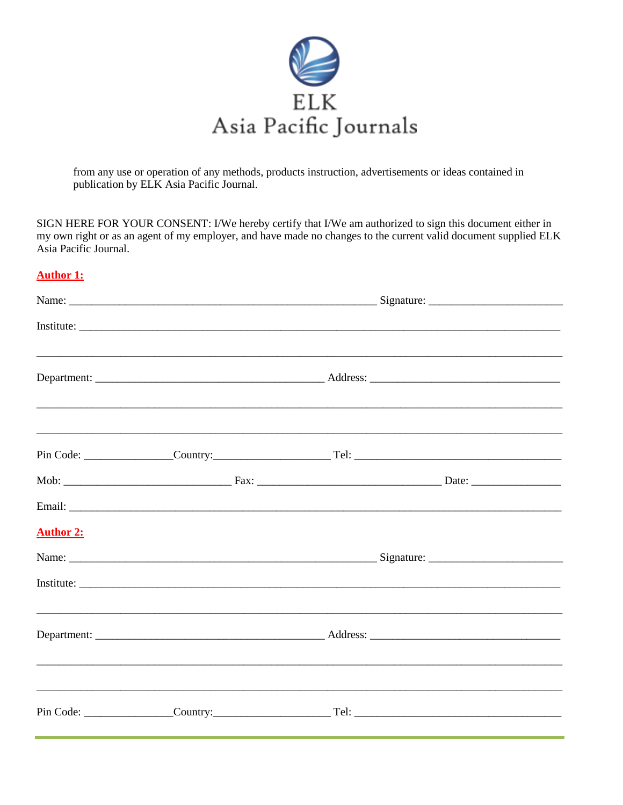

from any use or operation of any methods, products instruction, advertisements or ideas contained in publication by ELK Asia Pacific Journal.

SIGN HERE FOR YOUR CONSENT: I/We hereby certify that I/We am authorized to sign this document either in my own right or as an agent of my employer, and have made no changes to the current valid document supplied ELK Asia Pacific Journal.

## **Author 1:**

| <b>Author 2:</b> |  |  |  |  |  |
|------------------|--|--|--|--|--|
|                  |  |  |  |  |  |
|                  |  |  |  |  |  |
|                  |  |  |  |  |  |
|                  |  |  |  |  |  |
|                  |  |  |  |  |  |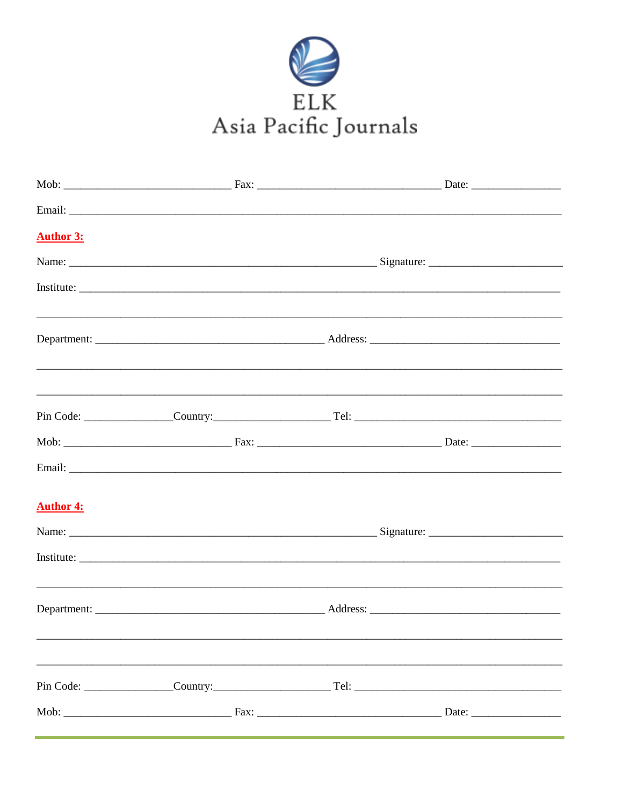

| <b>Author 3:</b> |  |  |  |  |  |
|------------------|--|--|--|--|--|
|                  |  |  |  |  |  |
|                  |  |  |  |  |  |
|                  |  |  |  |  |  |
|                  |  |  |  |  |  |
|                  |  |  |  |  |  |
|                  |  |  |  |  |  |
|                  |  |  |  |  |  |
|                  |  |  |  |  |  |
|                  |  |  |  |  |  |
| <b>Author 4:</b> |  |  |  |  |  |
|                  |  |  |  |  |  |
|                  |  |  |  |  |  |
|                  |  |  |  |  |  |
|                  |  |  |  |  |  |
|                  |  |  |  |  |  |
|                  |  |  |  |  |  |
|                  |  |  |  |  |  |